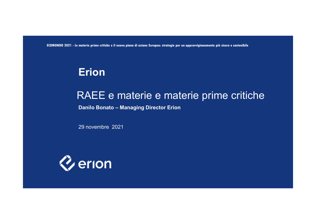**ECOMONDO 2021 - Le materie prime critiche e il nuovo piano di azione Europeo: strategie per un approvvigionamento più sicuro e sostenibile**

# **Erion**

# RAEE e materie e materie prime critiche

**Danilo Bonato – Managing Director Erion**

29 novembre 2021

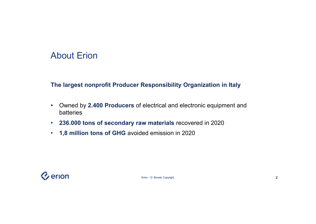### About Erion

#### **The largest nonprofit Producer Responsibility Organization in Italy**

- Owned by **2.400 Producers** of electrical and electronic equipment and batteries
- **236.000 tons of secondary raw materials** recovered in 2020
- **1,8 million tons of GHG** avoided emission in 2020

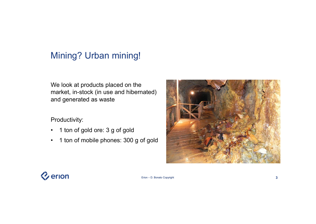## Mining? Urban mining!

We look at products placed on the market, in-stock (in use and hibernated) and generated as waste

#### Productivity:

- 1 ton of gold ore: 3 g of gold
- 1 ton of mobile phones: 300 g of gold



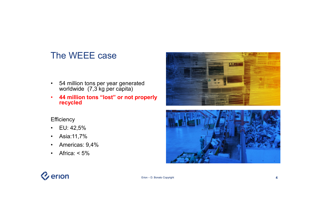### The WEEE case

- 54 million tons per year generated worldwide (7,3 kg per capita)
- **44 million tons "lost" or not properly recycled**

#### **Efficiency**

- EU: 42,5%
- Asia:11,7%
- Americas: 9,4%
- Africa:  $< 5\%$





# **V**erion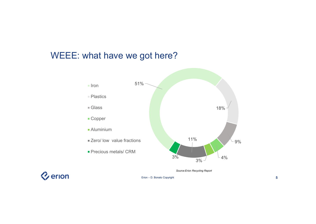### WEEE: what have we got here?



*Source:Erion Recycling Report*

*Q* erion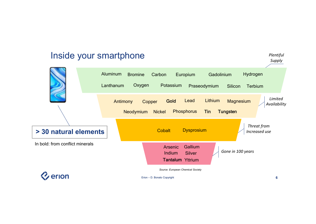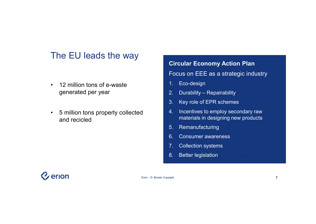### The EU leads the way

- 12 million tons of e-waste generated per year
- 5 million tons properly collected and recicled

# **Circular Economy Action Plan** Focus on EEE as a strategic industry 1. Eco-design 2. Durability – Repairability

- 3. Key role of EPR schemes
- 4. Incentives to employ secondary raw materials in designing new products
- 5. Remanufacturing
- 6. Consumer awareness
- 7. Collection systems
- 8. Better legislation

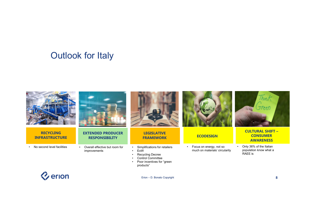### Outlook for Italy